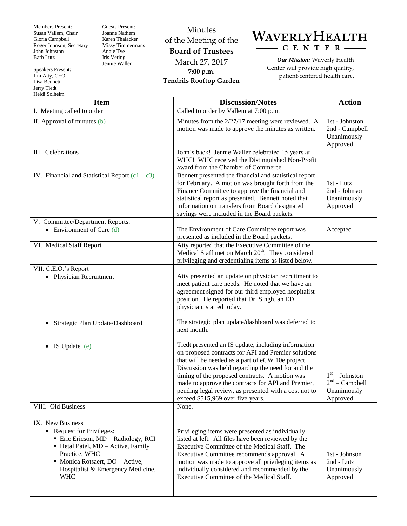Members Present: Susan Vallem, Chair Gloria Campbell Roger Johnson, Secretary John Johnston Barb Lutz

Guests Present: Joanne Nathem Karen Thalacker Missy Timmermans Angie Tye Iris Vering Jennie Waller

Minutes of the Meeting of the **Board of Trustees** March 27, 2017 **7:00 p.m. Tendrils Rooftop Garden**



*Our Mission:* Waverly Health Center will provide high quality, patient-centered health care.

| <b>Item</b>                                                                                                                                                                                                                   | <b>Discussion/Notes</b>                                                                                                                                                                                                                                                                                                                                                                                                     | <b>Action</b>                                                   |
|-------------------------------------------------------------------------------------------------------------------------------------------------------------------------------------------------------------------------------|-----------------------------------------------------------------------------------------------------------------------------------------------------------------------------------------------------------------------------------------------------------------------------------------------------------------------------------------------------------------------------------------------------------------------------|-----------------------------------------------------------------|
| I. Meeting called to order                                                                                                                                                                                                    | Called to order by Vallem at 7:00 p.m.                                                                                                                                                                                                                                                                                                                                                                                      |                                                                 |
| II. Approval of minutes (b)                                                                                                                                                                                                   | Minutes from the 2/27/17 meeting were reviewed. A<br>motion was made to approve the minutes as written.                                                                                                                                                                                                                                                                                                                     | 1st - Johnston<br>2nd - Campbell<br>Unanimously<br>Approved     |
| III. Celebrations                                                                                                                                                                                                             | John's back! Jennie Waller celebrated 15 years at<br>WHC! WHC received the Distinguished Non-Profit<br>award from the Chamber of Commerce.                                                                                                                                                                                                                                                                                  |                                                                 |
| IV. Financial and Statistical Report $(c1 - c3)$                                                                                                                                                                              | Bennett presented the financial and statistical report<br>for February. A motion was brought forth from the<br>Finance Committee to approve the financial and<br>statistical report as presented. Bennett noted that<br>information on transfers from Board designated<br>savings were included in the Board packets.                                                                                                       | 1st - Lutz<br>2nd - Johnson<br>Unanimously<br>Approved          |
| V. Committee/Department Reports:<br>• Environment of Care $(d)$                                                                                                                                                               | The Environment of Care Committee report was<br>presented as included in the Board packets.                                                                                                                                                                                                                                                                                                                                 | Accepted                                                        |
| VI. Medical Staff Report                                                                                                                                                                                                      | Atty reported that the Executive Committee of the<br>Medical Staff met on March 20 <sup>th</sup> . They considered<br>privileging and credentialing items as listed below.                                                                                                                                                                                                                                                  |                                                                 |
| VII. C.E.O.'s Report<br>• Physician Recruitment                                                                                                                                                                               | Atty presented an update on physician recruitment to<br>meet patient care needs. He noted that we have an<br>agreement signed for our third employed hospitalist<br>position. He reported that Dr. Singh, an ED<br>physician, started today.                                                                                                                                                                                |                                                                 |
| Strategic Plan Update/Dashboard                                                                                                                                                                                               | The strategic plan update/dashboard was deferred to<br>next month.                                                                                                                                                                                                                                                                                                                                                          |                                                                 |
| IS Update (e)                                                                                                                                                                                                                 | Tiedt presented an IS update, including information<br>on proposed contracts for API and Premier solutions<br>that will be needed as a part of eCW 10e project.<br>Discussion was held regarding the need for and the<br>timing of the proposed contracts. A motion was<br>made to approve the contracts for API and Premier,<br>pending legal review, as presented with a cost not to<br>exceed \$515,969 over five years. | $1st - Johnston$<br>$2nd$ – Campbell<br>Unanimously<br>Approved |
| VIII. Old Business                                                                                                                                                                                                            | None.                                                                                                                                                                                                                                                                                                                                                                                                                       |                                                                 |
| IX. New Business<br>• Request for Privileges:<br>Eric Ericson, MD - Radiology, RCI<br>Hetal Patel, MD - Active, Family<br>Practice, WHC<br>• Monica Rotsaert, DO - Active,<br>Hospitalist & Emergency Medicine,<br><b>WHC</b> | Privileging items were presented as individually<br>listed at left. All files have been reviewed by the<br>Executive Committee of the Medical Staff. The<br>Executive Committee recommends approval. A<br>motion was made to approve all privileging items as<br>individually considered and recommended by the<br>Executive Committee of the Medical Staff.                                                                | 1st - Johnson<br>2nd - Lutz<br>Unanimously<br>Approved          |

Speakers Present: Jim Atty, CEO Lisa Bennett Jerry Tiedt Heidi Solheim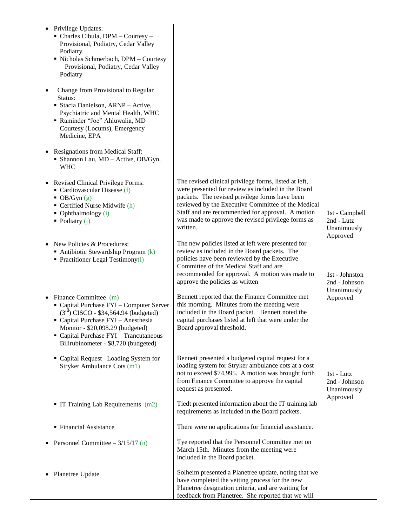| • Privilege Updates:<br>• Charles Cibula, DPM - Courtesy -<br>Provisional, Podiatry, Cedar Valley<br>Podiatry<br>Nicholas Schmerbach, DPM - Courtesy<br>- Provisional, Podiatry, Cedar Valley<br>Podiatry                                                                 |                                                                                                                                                                                                                                                                                                                                           |                                                          |
|---------------------------------------------------------------------------------------------------------------------------------------------------------------------------------------------------------------------------------------------------------------------------|-------------------------------------------------------------------------------------------------------------------------------------------------------------------------------------------------------------------------------------------------------------------------------------------------------------------------------------------|----------------------------------------------------------|
| Change from Provisional to Regular<br>Status:<br>Stacia Danielson, ARNP - Active,<br>Psychiatric and Mental Health, WHC<br>Raminder "Joe" Ahluwalia, MD -<br>Courtesy (Locums), Emergency<br>Medicine, EPA                                                                |                                                                                                                                                                                                                                                                                                                                           |                                                          |
| Resignations from Medical Staff:<br>$\bullet$<br>• Shannon Lau, MD - Active, OB/Gyn,<br><b>WHC</b>                                                                                                                                                                        |                                                                                                                                                                                                                                                                                                                                           |                                                          |
| <b>Revised Clinical Privilege Forms:</b><br>$\bullet$<br>• Cardiovascular Disease $(f)$<br>$\bullet$ OB/Gyn (g)<br>• Certified Nurse Midwife (h)<br>$\bullet$ Ophthalmology (i)<br>• Podiatry $(i)$                                                                       | The revised clinical privilege forms, listed at left,<br>were presented for review as included in the Board<br>packets. The revised privilege forms have been<br>reviewed by the Executive Committee of the Medical<br>Staff and are recommended for approval. A motion<br>was made to approve the revised privilege forms as<br>written. | 1st - Campbell<br>2nd - Lutz<br>Unanimously<br>Approved  |
| New Policies & Procedures:<br>Antibiotic Stewardship Program $(k)$<br>• Practitioner Legal Testimony $(l)$                                                                                                                                                                | The new policies listed at left were presented for<br>review as included in the Board packets. The<br>policies have been reviewed by the Executive<br>Committee of the Medical Staff and are<br>recommended for approval. A motion was made to<br>approve the policies as written                                                         | 1st - Johnston<br>2nd - Johnson                          |
| Finance Committee (m)<br>• Capital Purchase FYI - Computer Server<br>$(3^{rd})$ CISCO - \$34,564.94 (budgeted)<br>Capital Purchase FYI - Anesthesia<br>Monitor - \$20,098.29 (budgeted)<br>• Capital Purchase FYI - Trancutaneous<br>Bilirubinometer - \$8,720 (budgeted) | Bennett reported that the Finance Committee met<br>this morning. Minutes from the meeting were<br>included in the Board packet. Bennett noted the<br>capital purchases listed at left that were under the<br>Board approval threshold.                                                                                                    | Unanimously<br>Approved                                  |
| • Capital Request -Loading System for<br>Stryker Ambulance Cots (m1)                                                                                                                                                                                                      | Bennett presented a budgeted capital request for a<br>loading system for Stryker ambulance cots at a cost<br>not to exceed \$74,995. A motion was brought forth<br>from Finance Committee to approve the capital<br>request as presented.                                                                                                 | $1st$ - Lutz<br>2nd - Johnson<br>Unanimously<br>Approved |
| $\blacksquare$ IT Training Lab Requirements (m2)                                                                                                                                                                                                                          | Tiedt presented information about the IT training lab<br>requirements as included in the Board packets.                                                                                                                                                                                                                                   |                                                          |
| ■ Financial Assistance                                                                                                                                                                                                                                                    | There were no applications for financial assistance.                                                                                                                                                                                                                                                                                      |                                                          |
| Personnel Committee $-3/15/17$ (n)                                                                                                                                                                                                                                        | Tye reported that the Personnel Committee met on<br>March 15th. Minutes from the meeting were<br>included in the Board packet.                                                                                                                                                                                                            |                                                          |
| Planetree Update                                                                                                                                                                                                                                                          | Solheim presented a Planetree update, noting that we<br>have completed the vetting process for the new<br>Planetree designation criteria, and are waiting for<br>feedback from Planetree. She reported that we will                                                                                                                       |                                                          |